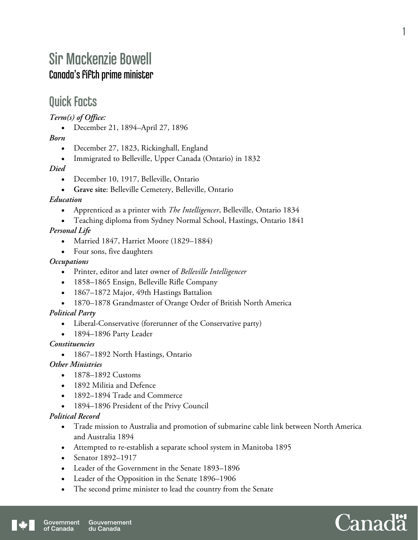# Sir Mackenzie Bowell Canada's fifth prime minister

### Quick Facts

*Term(s) of Office:* 

December 21, 1894–April 27, 1896

*Born* 

- December 27, 1823, Rickinghall, England
- Immigrated to Belleville, Upper Canada (Ontario) in 1832

*Died* 

- December 10, 1917, Belleville, Ontario
- **Grave site**: Belleville Cemetery, Belleville, Ontario

#### *Education*

- Apprenticed as a printer with *The Intelligencer*, Belleville, Ontario 1834
- Teaching diploma from Sydney Normal School, Hastings, Ontario 1841 *Personal Life* 
	- Married 1847, Harriet Moore (1829–1884)
	- Four sons, five daughters

#### *Occupations*

- Printer, editor and later owner of *Belleville Intelligencer*
- 1858–1865 Ensign, Belleville Rifle Company
- 1867–1872 Major, 49th Hastings Battalion
- 1870–1878 Grandmaster of Orange Order of British North America

#### *Political Party*

- Liberal-Conservative (forerunner of the Conservative party)
- 1894–1896 Party Leader

#### *Constituencies*

• 1867–1892 North Hastings, Ontario

#### *Other Ministries*

- 1878–1892 Customs
- 1892 Militia and Defence
- 1892–1894 Trade and Commerce
- 1894–1896 President of the Privy Council

#### *Political Record*

- Trade mission to Australia and promotion of submarine cable link between North America and Australia 1894
- Attempted to re-establish a separate school system in Manitoba 1895
- Senator 1892–1917
- Leader of the Government in the Senate 1893–1896
- Leader of the Opposition in the Senate 1896–1906
- The second prime minister to lead the country from the Senate

1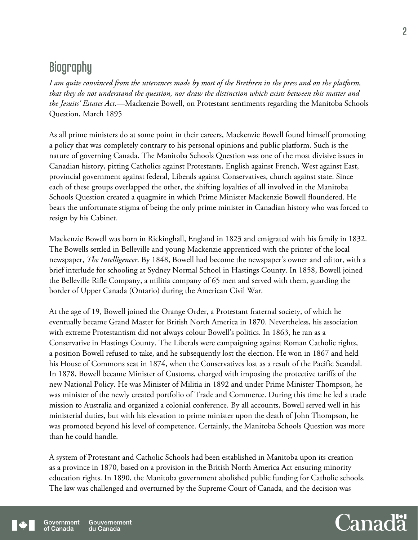## **Biography**

*I am quite convinced from the utterances made by most of the Brethren in the press and on the platform, that they do not understand the question, nor draw the distinction which exists between this matter and the Jesuits' Estates Act.*—Mackenzie Bowell, on Protestant sentiments regarding the Manitoba Schools Question, March 1895

As all prime ministers do at some point in their careers, Mackenzie Bowell found himself promoting a policy that was completely contrary to his personal opinions and public platform. Such is the nature of governing Canada. The Manitoba Schools Question was one of the most divisive issues in Canadian history, pitting Catholics against Protestants, English against French, West against East, provincial government against federal, Liberals against Conservatives, church against state. Since each of these groups overlapped the other, the shifting loyalties of all involved in the Manitoba Schools Question created a quagmire in which Prime Minister Mackenzie Bowell floundered. He bears the unfortunate stigma of being the only prime minister in Canadian history who was forced to resign by his Cabinet.

Mackenzie Bowell was born in Rickinghall, England in 1823 and emigrated with his family in 1832. The Bowells settled in Belleville and young Mackenzie apprenticed with the printer of the local newspaper, *The Intelligencer*. By 1848, Bowell had become the newspaper's owner and editor, with a brief interlude for schooling at Sydney Normal School in Hastings County. In 1858, Bowell joined the Belleville Rifle Company, a militia company of 65 men and served with them, guarding the border of Upper Canada (Ontario) during the American Civil War.

At the age of 19, Bowell joined the Orange Order, a Protestant fraternal society, of which he eventually became Grand Master for British North America in 1870. Nevertheless, his association with extreme Protestantism did not always colour Bowell's politics. In 1863, he ran as a Conservative in Hastings County. The Liberals were campaigning against Roman Catholic rights, a position Bowell refused to take, and he subsequently lost the election. He won in 1867 and held his House of Commons seat in 1874, when the Conservatives lost as a result of the Pacific Scandal. In 1878, Bowell became Minister of Customs, charged with imposing the protective tariffs of the new National Policy. He was Minister of Militia in 1892 and under Prime Minister Thompson, he was minister of the newly created portfolio of Trade and Commerce. During this time he led a trade mission to Australia and organized a colonial conference. By all accounts, Bowell served well in his ministerial duties, but with his elevation to prime minister upon the death of John Thompson, he was promoted beyond his level of competence. Certainly, the Manitoba Schools Question was more than he could handle.

A system of Protestant and Catholic Schools had been established in Manitoba upon its creation as a province in 1870, based on a provision in the British North America Act ensuring minority education rights. In 1890, the Manitoba government abolished public funding for Catholic schools. The law was challenged and overturned by the Supreme Court of Canada, and the decision was

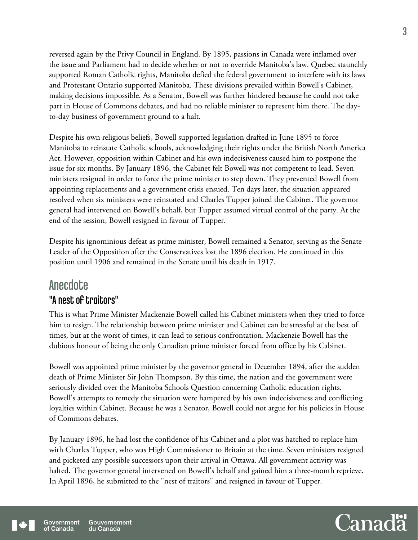reversed again by the Privy Council in England. By 1895, passions in Canada were inflamed over the issue and Parliament had to decide whether or not to override Manitoba's law. Quebec staunchly supported Roman Catholic rights, Manitoba defied the federal government to interfere with its laws and Protestant Ontario supported Manitoba. These divisions prevailed within Bowell's Cabinet, making decisions impossible. As a Senator, Bowell was further hindered because he could not take part in House of Commons debates, and had no reliable minister to represent him there. The dayto-day business of government ground to a halt.

Despite his own religious beliefs, Bowell supported legislation drafted in June 1895 to force Manitoba to reinstate Catholic schools, acknowledging their rights under the British North America Act. However, opposition within Cabinet and his own indecisiveness caused him to postpone the issue for six months. By January 1896, the Cabinet felt Bowell was not competent to lead. Seven ministers resigned in order to force the prime minister to step down. They prevented Bowell from appointing replacements and a government crisis ensued. Ten days later, the situation appeared resolved when six ministers were reinstated and Charles Tupper joined the Cabinet. The governor general had intervened on Bowell's behalf, but Tupper assumed virtual control of the party. At the end of the session, Bowell resigned in favour of Tupper.

Despite his ignominious defeat as prime minister, Bowell remained a Senator, serving as the Senate Leader of the Opposition after the Conservatives lost the 1896 election. He continued in this position until 1906 and remained in the Senate until his death in 1917.

### **Anecdote** "A nest of traitors"

This is what Prime Minister Mackenzie Bowell called his Cabinet ministers when they tried to force him to resign. The relationship between prime minister and Cabinet can be stressful at the best of times, but at the worst of times, it can lead to serious confrontation. Mackenzie Bowell has the dubious honour of being the only Canadian prime minister forced from office by his Cabinet.

Bowell was appointed prime minister by the governor general in December 1894, after the sudden death of Prime Minister Sir John Thompson. By this time, the nation and the government were seriously divided over the Manitoba Schools Question concerning Catholic education rights. Bowell's attempts to remedy the situation were hampered by his own indecisiveness and conflicting loyalties within Cabinet. Because he was a Senator, Bowell could not argue for his policies in House of Commons debates.

By January 1896, he had lost the confidence of his Cabinet and a plot was hatched to replace him with Charles Tupper, who was High Commissioner to Britain at the time. Seven ministers resigned and picketed any possible successors upon their arrival in Ottawa. All government activity was halted. The governor general intervened on Bowell's behalf and gained him a three-month reprieve. In April 1896, he submitted to the "nest of traitors" and resigned in favour of Tupper.